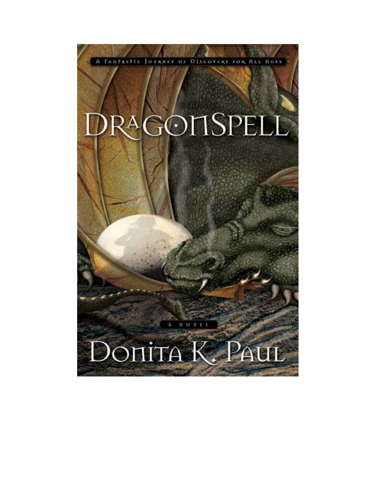# DRAGOMSPELL

π

## DONITA K. PAUL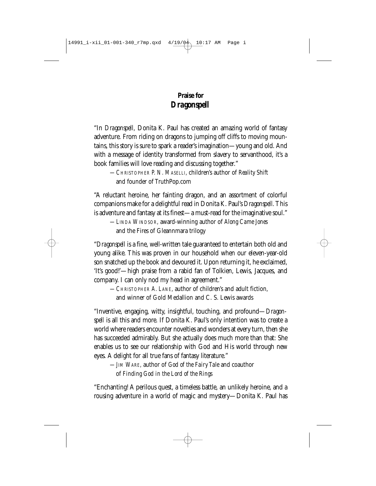#### **Praise for** *Dragonspell*

"In *Dragonspell,* Donita K. Paul has created an amazing world of fantasy adventure. From riding on dragons to jumping off cliffs to moving mountains, this story is sure to spark a reader's imagination—young and old. And with a message of identity transformed from slavery to servanthood, it's a book families will love reading and discussing together."

—CHRISTOPHER P. N. MASELLI, children's author of *Reality Shift* and founder of TruthPop.com

"A reluctant heroine, her fainting dragon, and an assortment of colorful companions make for a delightful read in Donita K. Paul's *Dragonspell.*This is adventure and fantasy at its finest—a must-read for the imaginative soul."

—LINDA WINDSOR, award-winning author of *Along Came Jones* and the Fires of Gleannmara trilogy

"*Dragonspell* is a fine, well-written tale guaranteed to entertain both old and young alike. This was proven in our household when our eleven-year-old son snatched up the book and devoured it. Upon returning it, he exclaimed, 'It's good!'—high praise from a rabid fan of Tolkien, Lewis, Jacques, and company. I can only nod my head in agreement."

—CHRISTOPHER A. LANE, author of children's and adult fiction, and winner of Gold Medallion and C. S. Lewis awards

"Inventive, engaging, witty, insightful, touching, and profound—*Dragonspell* is all this and more. If Donita K. Paul's only intention was to create a world where readers encounter novelties and wonders at every turn, then she has succeeded admirably. But she actually does much more than that: She enables us to see our relationship with God and His world through new eyes. A delight for all true fans of fantasy literature."

—JIM WARE, author of *God of the Fairy Tale* and coauthor of *Finding God in the Lord of the Rings*

"Enchanting! A perilous quest, a timeless battle, an unlikely heroine, and a rousing adventure in a world of magic and mystery—Donita K. Paul has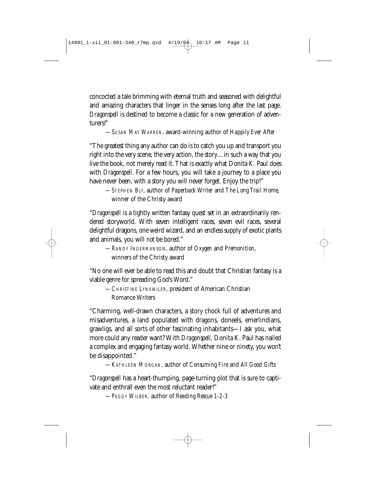concocted a tale brimming with eternal truth and seasoned with delightful and amazing characters that linger in the senses long after the last page. *Dragonspell* is destined to become a classic for a new generation of adventurers!"

—SUSAN MAY WARREN, award-winning author of *Happily Ever After*

"The greatest thing any author can do is to catch you up and transport you right into the very scene, the very action, the story…in such a way that you live the book, not merely read it. That is exactly what Donita K. Paul does with *Dragonspell.* For a few hours, you will take a journey to a place you have never been, with a story you will never forget. Enjoy the trip!"

—STEPHEN BLY, author of *Paperback Writer* and *The Long Trail Home*, winner of the Christy award

"*Dragonspell* is a tightly written fantasy quest set in an extraordinarily rendered storyworld. With seven intelligent races, seven evil races, several delightful dragons, one weird wizard, and an endless supply of exotic plants and animals, you will *not* be bored."

—RANDY INGERMANSON, author of *Oxygen* and *Premonition*, winners of the Christy award

"No one will ever be able to read this and doubt that Christian fantasy is a viable genre for spreading God's Word."

—CHRISTINE LYNXWILER, president of American Christian Romance Writers

"Charming, well-drawn characters, a story chock full of adventures and misadventures, a land populated with dragons, doneels, emerlindians, grawligs, and all sorts of other fascinating inhabitants—I ask you, what more could any reader want? With *Dragonspell,* Donita K. Paul has nailed a complex and engaging fantasy world. Whether nine or ninety, you won't be disappointed."

—KATHLEEN MORGAN, author of *Consuming Fire* and *All Good Gifts*

"*Dragonspell* has a heart-thumping, page-turning plot that is sure to captivate and enthrall even the most reluctant reader!"

—PEGGY WILBER, author of *Reading Rescue 1-2-3*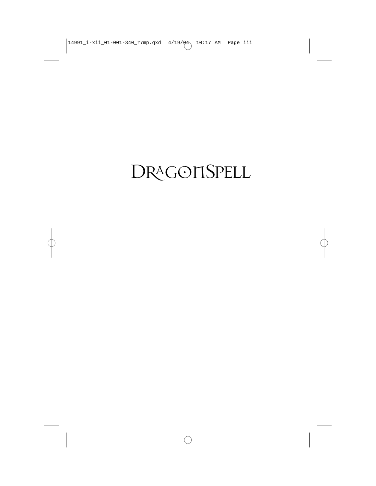### DRAGONSPELL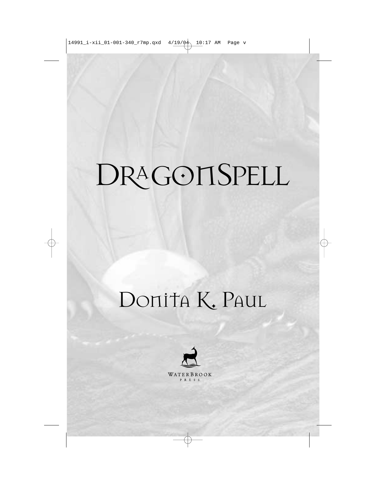## DRAGONSPELL

## DONITA K. PAUL

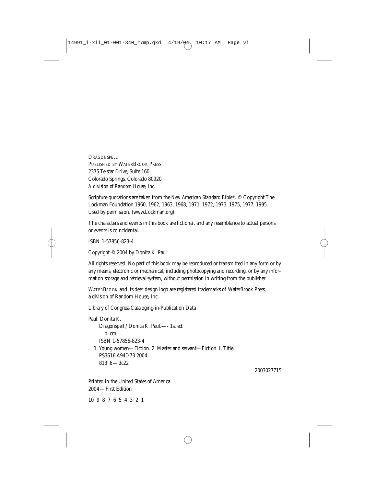DRAGONSPELL PUBLISHED BY WATERBROOK PRESS 2375 Telstar Drive, Suite 160 Colorado Springs, Colorado 80920 *A division of Random House, Inc.*

Scripture quotations are taken from the *New American Standard Bible*®. © Copyright The Lockman Foundation 1960, 1962, 1963, 1968, 1971, 1972, 1973, 1975, 1977, 1995. Used by permission. (www.Lockman.org).

The characters and events in this book are fictional, and any resemblance to actual persons or events is coincidental.

ISBN 1-57856-823-4

Copyright © 2004 by Donita K. Paul

All rights reserved. No part of this book may be reproduced or transmitted in any form or by any means, electronic or mechanical, including photocopying and recording, or by any information storage and retrieval system, without permission in writing from the publisher.

WATERBROOK and its deer design logo are registered trademarks of WaterBrook Press, a division of Random House, Inc.

Library of Congress Cataloging-in-Publication Data

Paul, Donita K. Dragonspell / Donita K. Paul.—- 1st ed. p. cm. ISBN 1-57856-823-4 1. Young women—Fiction. 2. Master and servant—Fiction. I. Title. PS3616.A94D73 2004  $813'6 - dr22$ 

#### 2003027715

Printed in the United States of America 2004—First Edition

10 9 8 7 6 5 4 3 2 1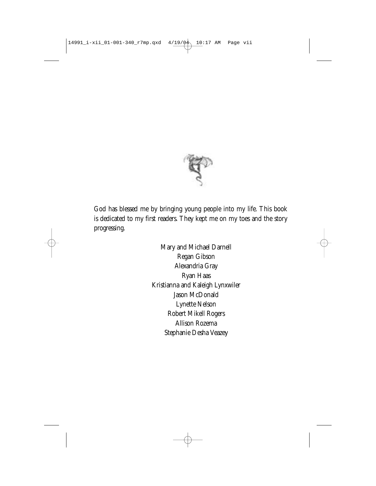

God has blessed me by bringing young people into my life. This book is dedicated to my first readers. They kept me on my toes and the story progressing.

> Mary and Michael Darnell Regan Gibson Alexandria Gray Ryan Haas Kristianna and Kaleigh Lynxwiler Jason McDonald Lynette Nelson Robert Mikell Rogers Allison Rozema Stephanie Desha Veazey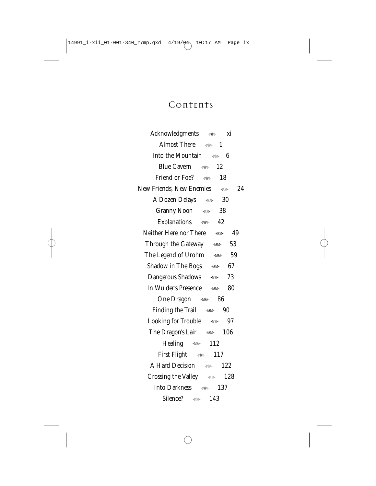#### Contents

| Acknowledgments $\leftrightarrow$ xi                 |
|------------------------------------------------------|
| Almost There $\Rightarrow$ 1                         |
| Into the Mountain $\Rightarrow$ 6                    |
| Blue Cavern ## 12                                    |
| Friend or Foe? <del>- as</del><br>18                 |
| New Friends, New Enemies $\iff$ 24                   |
| A Dozen Delays ## 30                                 |
| Granny Noon ## 38                                    |
| Explanations $\#$ 42                                 |
| Neither Here nor There $\implies$ 49                 |
| Through the Gateway $\underset{\approx}{\approx}$ 53 |
| The Legend of Urohm $\approx 59$                     |
| <b>Shadow in The Bogs</b> $\leftrightarrow$ 67       |
| Dangerous Shadows + 23                               |
| In Wulder's Presence ## 80                           |
| One Dragon ## 86                                     |
| Finding the Trail $\lim_{x \to \infty} 90$           |
| Looking for Trouble $\qquad \texttt{\#F}$<br>97      |
| The Dragon's Lair – <sub>**</sub><br>106             |
| Healing <a> 112</a>                                  |
| First Flight $\iff$ 117                              |
| A Hard Decision ## 122                               |
| Crossing the Valley $\lim_{x \to \infty} 128$        |
| Into Darkness $\lim_{x \to \infty} 137$              |
| Silence?<br><a> 143</a>                              |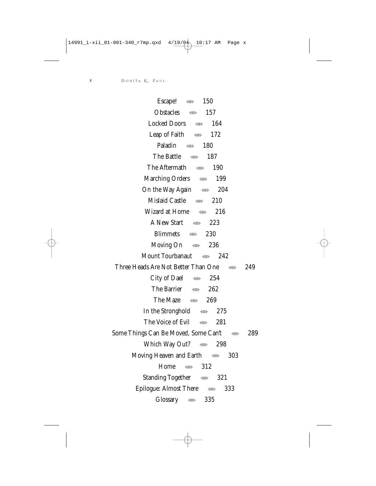| Escape! $\text{#}$ 150                                     |
|------------------------------------------------------------|
| Obstacles $\text{#}$ 157                                   |
| Locked Doors as<br>164                                     |
| Leap of Faith $\iff$ 172                                   |
| Paladin $\iff$ 180                                         |
| The Battle as<br>187                                       |
| The Aftermath and the monomer of the $\mathbb{R}^n$<br>190 |
| Marching Orders $\quad$ $\approx$<br>199                   |
| On the Way Again सा<br>204                                 |
| Mislaid Castle<br>- ≢⊯ 210                                 |
| Wizard at Home ## 216                                      |
| A New Start $\qquad \Rightarrow 223$                       |
| Blimmets $\# \ 230$                                        |
| Moving On $\#$ 236                                         |
| Mount Tourbanaut + 242                                     |
| Three Heads Are Not Better Than One ## 249                 |
| City of Dael $\# \#$ 254                                   |
| The Barrier $\implies$ 262                                 |
| The Maze $\iff$ 269                                        |
| In the Stronghold $\iff$ 275                               |
| The Voice of Evil ## 281                                   |
|                                                            |
| Some Things Can Be Moved, Some Can't Form<br>289           |
| Which Way Out? $\#$ 298                                    |
| Moving Heaven and Earth $\iff$ 303                         |
| Home $\approx$ 312                                         |
| Standing Together $\iff$ 321                               |
| Epilogue: Almost There $\iff$ 333                          |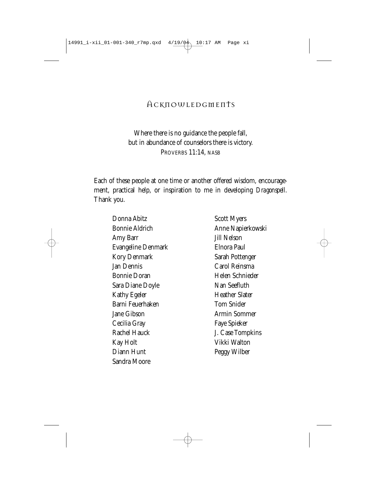#### Acknowledgments

Where there is no guidance the people fall, but in abundance of counselors there is victory. PROVERBS 11:14, NASB

Each of these people at one time or another offered wisdom, encouragement, practical help, or inspiration to me in developing *Dragonspell.* Thank you.

Donna Abitz Bonnie Aldrich Amy Barr Evangeline Denmark Kory Denmark Jan Dennis Bonnie Doran Sara Diane Doyle Kathy Egeler Barni Feuerhaken Jane Gibson Cecilia Gray Rachel Hauck Kay Holt Diann Hunt Sandra Moore

Scott Myers Anne Napierkowski Jill Nelson Elnora Paul Sarah Pottenger Carol Reinsma Helen Schnieder Nan Seefluth Heather Slater Tom Snider Armin Sommer Faye Spieker J. Case Tompkins Vikki Walton Peggy Wilber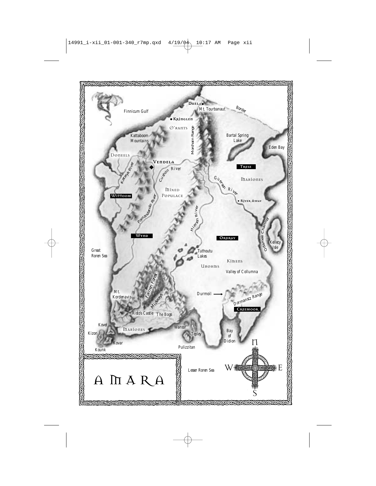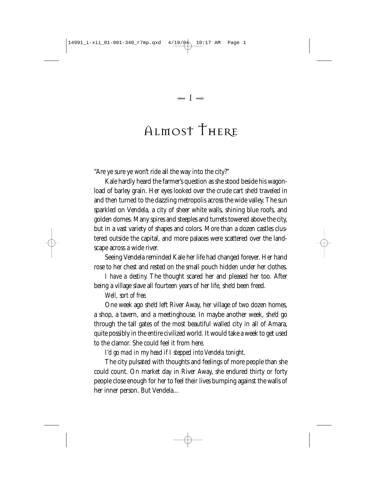### Almost There

"Are ye sure ye won't ride all the way into the city?"

Kale hardly heard the farmer's question as she stood beside his wagonload of barley grain. Her eyes looked over the crude cart she'd traveled in and then turned to the dazzling metropolis across the wide valley. The sun sparkled on Vendela, a city of sheer white walls, shining blue roofs, and golden domes. Many spires and steeples and turrets towered above the city, but in a vast variety of shapes and colors. More than a dozen castles clustered outside the capital, and more palaces were scattered over the landscape across a wide river.

Seeing Vendela reminded Kale her life had changed forever. Her hand rose to her chest and rested on the small pouch hidden under her clothes.

*I have a destiny.* The thought scared her and pleased her too. After being a village slave all fourteen years of her life, she'd been freed.

#### *Well, sort of free.*

One week ago she'd left River Away, her village of two dozen homes, a shop, a tavern, and a meetinghouse. In maybe another week, she'd go through the tall gates of the most beautiful walled city in all of Amara, quite possibly in the entire civilized world. It would take a week to get used to the clamor. She could feel it from here.

#### *I'd go mad in my head if I stepped into Vendela tonight.*

The city pulsated with thoughts and feelings of more people than she could count. On market day in River Away, she endured thirty or forty people close enough for her to feel their lives bumping against the walls of her inner person. But Vendela…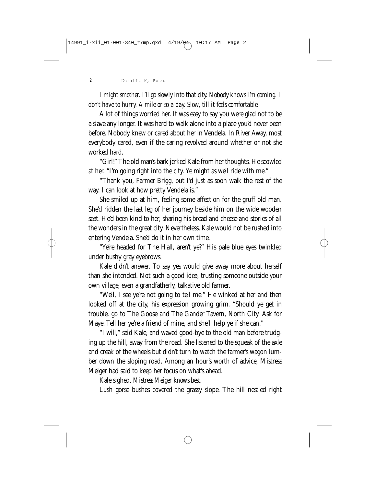*I might smother. I'll go slowly into that city. Nobody knows I'm coming. I don't have to hurry. A mile or so a day. Slow, till it feels comfortable.*

A lot of things worried her. It was easy to say you were glad not to be a slave any longer. It was hard to walk alone into a place you'd never been before. Nobody knew or cared about her in Vendela. In River Away, most everybody cared, even if the caring revolved around whether or not she worked hard.

"Girl!" The old man's bark jerked Kale from her thoughts. He scowled at her. "I'm going right into the city. Ye might as well ride with me."

"Thank you, Farmer Brigg, but I'd just as soon walk the rest of the way. I can look at how pretty Vendela is."

She smiled up at him, feeling some affection for the gruff old man. She'd ridden the last leg of her journey beside him on the wide wooden seat. He'd been kind to her, sharing his bread and cheese and stories of all the wonders in the great city. Nevertheless, Kale would not be rushed into entering Vendela. She'd do it in her own time.

"Ye're headed for The Hall, aren't ye?" His pale blue eyes twinkled under bushy gray eyebrows.

Kale didn't answer. To say yes would give away more about herself than she intended. Not such a good idea, trusting someone outside your own village, even a grandfatherly, talkative old farmer.

"Well, I see ye're not going to tell me." He winked at her and then looked off at the city, his expression growing grim. "Should ye get in trouble, go to The Goose and The Gander Tavern, North City. Ask for Maye. Tell her ye're a friend of mine, and she'll help ye if she can."

"I will," said Kale, and waved good-bye to the old man before trudging up the hill, away from the road. She listened to the squeak of the axle and creak of the wheels but didn't turn to watch the farmer's wagon lumber down the sloping road. Among an hour's worth of advice, Mistress Meiger had said to keep her focus on what's ahead.

Kale sighed. *Mistress Meiger knows best.*

Lush gorse bushes covered the grassy slope. The hill nestled right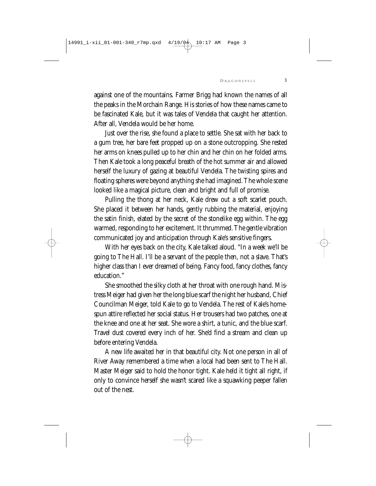against one of the mountains. Farmer Brigg had known the names of all the peaks in the Morchain Range. His stories of how these names came to be fascinated Kale, but it was tales of Vendela that caught her attention. After all, Vendela would be her home.

Just over the rise, she found a place to settle. She sat with her back to a gum tree, her bare feet propped up on a stone outcropping. She rested her arms on knees pulled up to her chin and her chin on her folded arms. Then Kale took a long peaceful breath of the hot summer air and allowed herself the luxury of gazing at beautiful Vendela. The twisting spires and floating spheres were beyond anything she had imagined. The whole scene looked like a magical picture, clean and bright and full of promise.

Pulling the thong at her neck, Kale drew out a soft scarlet pouch. She placed it between her hands, gently rubbing the material, enjoying the satin finish, elated by the secret of the stonelike egg within. The egg warmed, responding to her excitement. It thrummed. The gentle vibration communicated joy and anticipation through Kale's sensitive fingers.

With her eyes back on the city, Kale talked aloud. "In a week we'll be going to The Hall. I'll be a servant of the people then, not a slave. That's higher class than I ever dreamed of being. Fancy food, fancy clothes, fancy education."

She smoothed the silky cloth at her throat with one rough hand. Mistress Meiger had given her the long blue scarf the night her husband, Chief Councilman Meiger, told Kale to go to Vendela. The rest of Kale's homespun attire reflected her social status. Her trousers had two patches, one at the knee and one at her seat. She wore a shirt, a tunic, and the blue scarf. Travel dust covered every inch of her. She'd find a stream and clean up before entering Vendela.

A new life awaited her in that beautiful city. Not one person in all of River Away remembered a time when a local had been sent to The Hall. Master Meiger said to hold the honor tight. Kale held it tight all right, if only to convince herself she wasn't scared like a squawking peeper fallen out of the nest.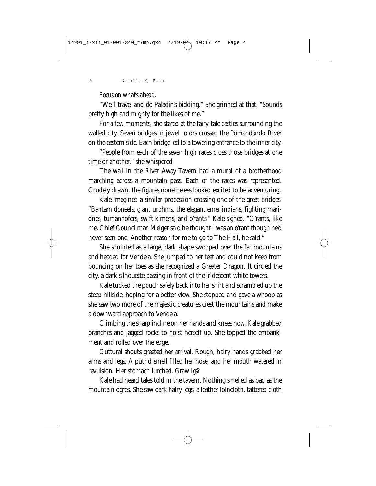#### *Focus on what's ahead.*

"We'll travel and do Paladin's bidding." She grinned at that. "Sounds pretty high and mighty for the likes of me."

For a few moments, she stared at the fairy-tale castles surrounding the walled city. Seven bridges in jewel colors crossed the Pomandando River on the eastern side. Each bridge led to a towering entrance to the inner city.

"People from each of the seven high races cross those bridges at one time or another," she whispered.

The wall in the River Away Tavern had a mural of a brotherhood marching across a mountain pass. Each of the races was represented. Crudely drawn, the figures nonetheless looked excited to be adventuring.

Kale imagined a similar procession crossing one of the great bridges. "Bantam doneels, giant urohms, the elegant emerlindians, fighting mariones, tumanhofers, swift kimens, and o'rants." Kale sighed. "O'rants, like me. Chief Councilman Meiger said he thought I was an o'rant though he'd never seen one. Another reason for me to go to The Hall, he said."

She squinted as a large, dark shape swooped over the far mountains and headed for Vendela. She jumped to her feet and could not keep from bouncing on her toes as she recognized a Greater Dragon. It circled the city, a dark silhouette passing in front of the iridescent white towers.

Kale tucked the pouch safely back into her shirt and scrambled up the steep hillside, hoping for a better view. She stopped and gave a whoop as she saw two more of the majestic creatures crest the mountains and make a downward approach to Vendela.

Climbing the sharp incline on her hands and knees now, Kale grabbed branches and jagged rocks to hoist herself up. She topped the embankment and rolled over the edge.

Guttural shouts greeted her arrival. Rough, hairy hands grabbed her arms and legs. A putrid smell filled her nose, and her mouth watered in revulsion. Her stomach lurched. *Grawligs?*

Kale had heard tales told in the tavern. Nothing smelled as bad as the mountain ogres. She saw dark hairy legs, a leather loincloth, tattered cloth